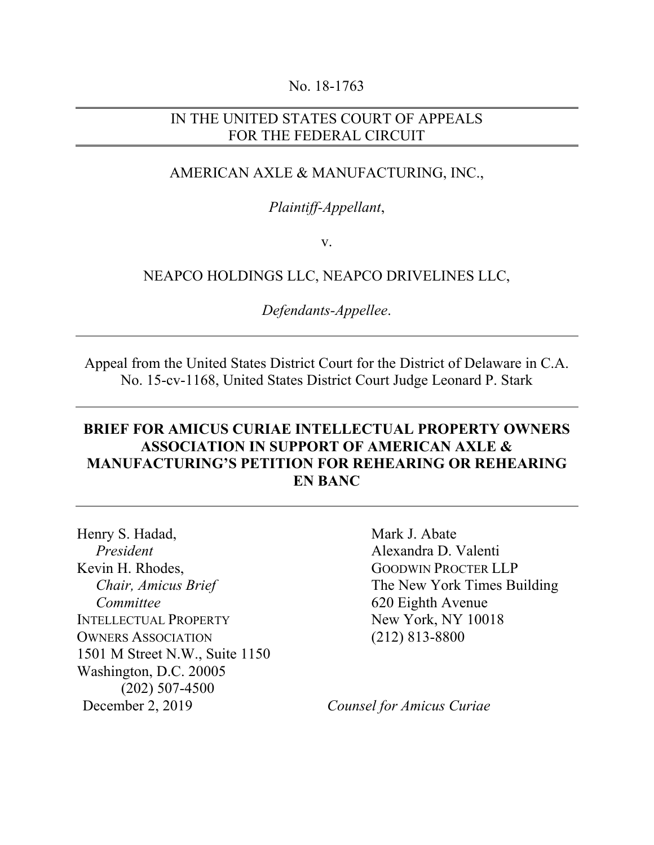#### No. 18-1763

## IN THE UNITED STATES COURT OF APPEALS FOR THE FEDERAL CIRCUIT

### AMERICAN AXLE & MANUFACTURING, INC.,

### *Plaintiff-Appellant*,

v.

### NEAPCO HOLDINGS LLC, NEAPCO DRIVELINES LLC,

### *Defendants-Appellee*.

Appeal from the United States District Court for the District of Delaware in C.A. No. 15-cv-1168, United States District Court Judge Leonard P. Stark

## **BRIEF FOR AMICUS CURIAE INTELLECTUAL PROPERTY OWNERS ASSOCIATION IN SUPPORT OF AMERICAN AXLE & MANUFACTURING'S PETITION FOR REHEARING OR REHEARING EN BANC**

Henry S. Hadad, *President* Kevin H. Rhodes, *Chair, Amicus Brief Committee* INTELLECTUAL PROPERTY OWNERS ASSOCIATION 1501 M Street N.W., Suite 1150 Washington, D.C. 20005 (202) 507-4500 December 2, 2019 *Counsel for Amicus Curiae*

Mark J. Abate Alexandra D. Valenti GOODWIN PROCTER LLP The New York Times Building 620 Eighth Avenue New York, NY 10018 (212) 813-8800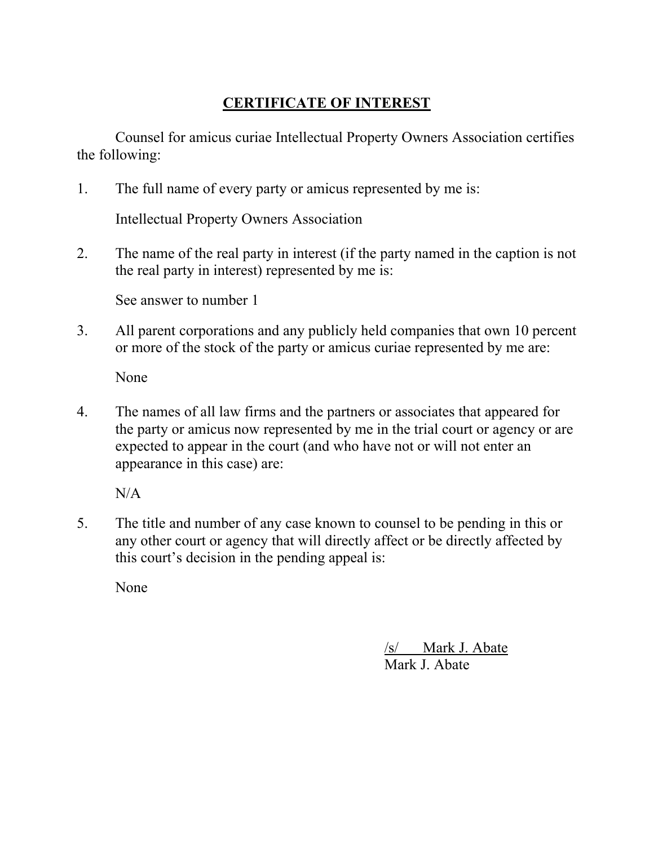## **CERTIFICATE OF INTEREST**

Counsel for amicus curiae Intellectual Property Owners Association certifies the following:

1. The full name of every party or amicus represented by me is:

Intellectual Property Owners Association

2. The name of the real party in interest (if the party named in the caption is not the real party in interest) represented by me is:

See answer to number 1

3. All parent corporations and any publicly held companies that own 10 percent or more of the stock of the party or amicus curiae represented by me are:

None

4. The names of all law firms and the partners or associates that appeared for the party or amicus now represented by me in the trial court or agency or are expected to appear in the court (and who have not or will not enter an appearance in this case) are:

 $N/A$ 

5. The title and number of any case known to counsel to be pending in this or any other court or agency that will directly affect or be directly affected by this court's decision in the pending appeal is:

None

/s/ Mark J. Abate Mark J. Abate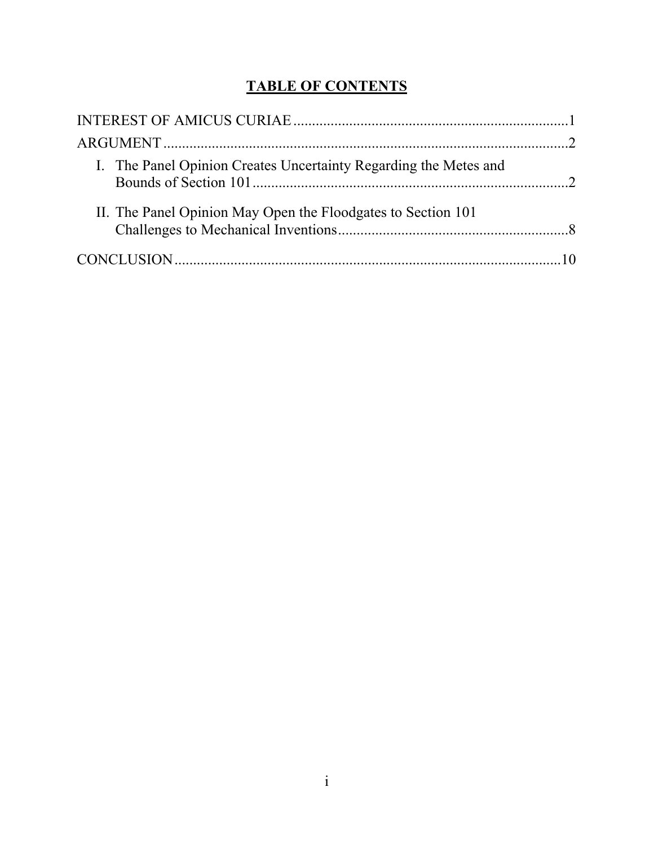# **TABLE OF CONTENTS**

| I. The Panel Opinion Creates Uncertainty Regarding the Metes and |  |
|------------------------------------------------------------------|--|
| II. The Panel Opinion May Open the Floodgates to Section 101     |  |
|                                                                  |  |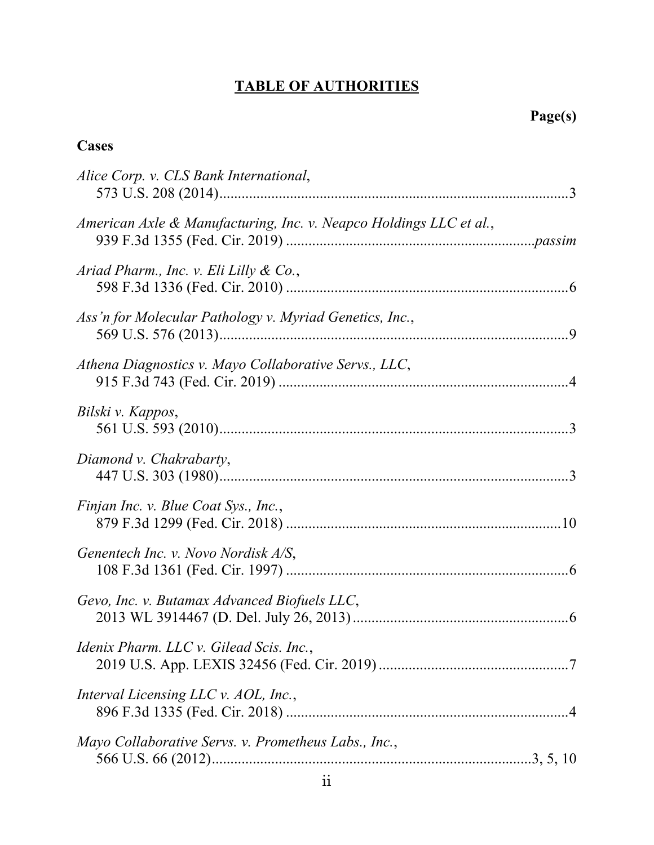# **TABLE OF AUTHORITIES**

## **Cases**

| Alice Corp. v. CLS Bank International,                             |
|--------------------------------------------------------------------|
| American Axle & Manufacturing, Inc. v. Neapco Holdings LLC et al., |
| Ariad Pharm., Inc. v. Eli Lilly & Co.,                             |
| Ass'n for Molecular Pathology v. Myriad Genetics, Inc.,            |
| Athena Diagnostics v. Mayo Collaborative Servs., LLC,              |
| Bilski v. Kappos,                                                  |
| Diamond v. Chakrabarty,                                            |
| Finjan Inc. v. Blue Coat Sys., Inc.,                               |
| Genentech Inc. v. Novo Nordisk A/S,                                |
| Gevo, Inc. v. Butamax Advanced Biofuels LLC,                       |
| Idenix Pharm. LLC v. Gilead Scis. Inc.,                            |
| Interval Licensing LLC v. AOL, Inc.,                               |
| Mayo Collaborative Servs. v. Prometheus Labs., Inc.,               |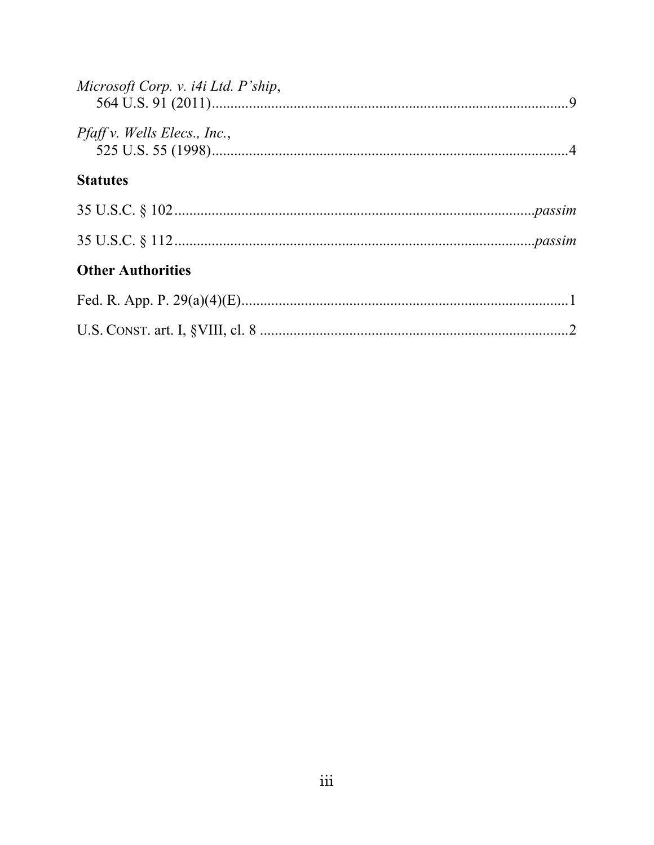| Microsoft Corp. v. i4i Ltd. P'ship, |  |
|-------------------------------------|--|
| <i>Pfaff v. Wells Elecs., Inc.,</i> |  |
| <b>Statutes</b>                     |  |
|                                     |  |
|                                     |  |
| <b>Other Authorities</b>            |  |
|                                     |  |
|                                     |  |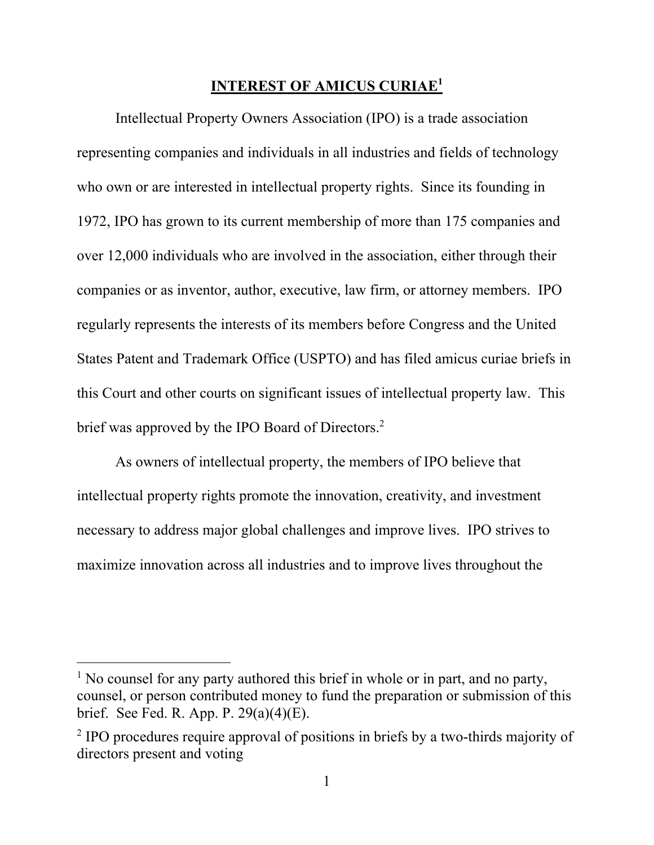## **INTEREST OF AMICUS CURIAE<sup>1</sup>**

Intellectual Property Owners Association (IPO) is a trade association representing companies and individuals in all industries and fields of technology who own or are interested in intellectual property rights. Since its founding in 1972, IPO has grown to its current membership of more than 175 companies and over 12,000 individuals who are involved in the association, either through their companies or as inventor, author, executive, law firm, or attorney members. IPO regularly represents the interests of its members before Congress and the United States Patent and Trademark Office (USPTO) and has filed amicus curiae briefs in this Court and other courts on significant issues of intellectual property law. This brief was approved by the IPO Board of Directors.<sup>2</sup>

As owners of intellectual property, the members of IPO believe that intellectual property rights promote the innovation, creativity, and investment necessary to address major global challenges and improve lives. IPO strives to maximize innovation across all industries and to improve lives throughout the

<sup>&</sup>lt;sup>1</sup> No counsel for any party authored this brief in whole or in part, and no party, counsel, or person contributed money to fund the preparation or submission of this brief. See Fed. R. App. P. 29(a)(4)(E).

<sup>&</sup>lt;sup>2</sup> IPO procedures require approval of positions in briefs by a two-thirds majority of directors present and voting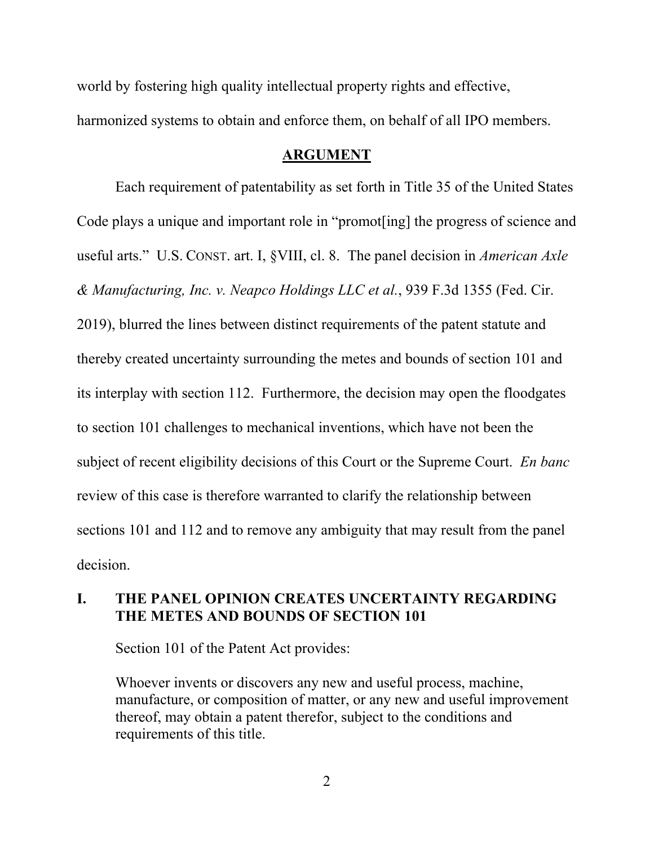world by fostering high quality intellectual property rights and effective, harmonized systems to obtain and enforce them, on behalf of all IPO members.

### **ARGUMENT**

Each requirement of patentability as set forth in Title 35 of the United States Code plays a unique and important role in "promot[ing] the progress of science and useful arts." U.S. CONST. art. I, §VIII, cl. 8. The panel decision in *American Axle & Manufacturing, Inc. v. Neapco Holdings LLC et al.*, 939 F.3d 1355 (Fed. Cir. 2019), blurred the lines between distinct requirements of the patent statute and thereby created uncertainty surrounding the metes and bounds of section 101 and its interplay with section 112. Furthermore, the decision may open the floodgates to section 101 challenges to mechanical inventions, which have not been the subject of recent eligibility decisions of this Court or the Supreme Court. *En banc* review of this case is therefore warranted to clarify the relationship between sections 101 and 112 and to remove any ambiguity that may result from the panel decision.

## **I. THE PANEL OPINION CREATES UNCERTAINTY REGARDING THE METES AND BOUNDS OF SECTION 101**

Section 101 of the Patent Act provides:

Whoever invents or discovers any new and useful process, machine, manufacture, or composition of matter, or any new and useful improvement thereof, may obtain a patent therefor, subject to the conditions and requirements of this title.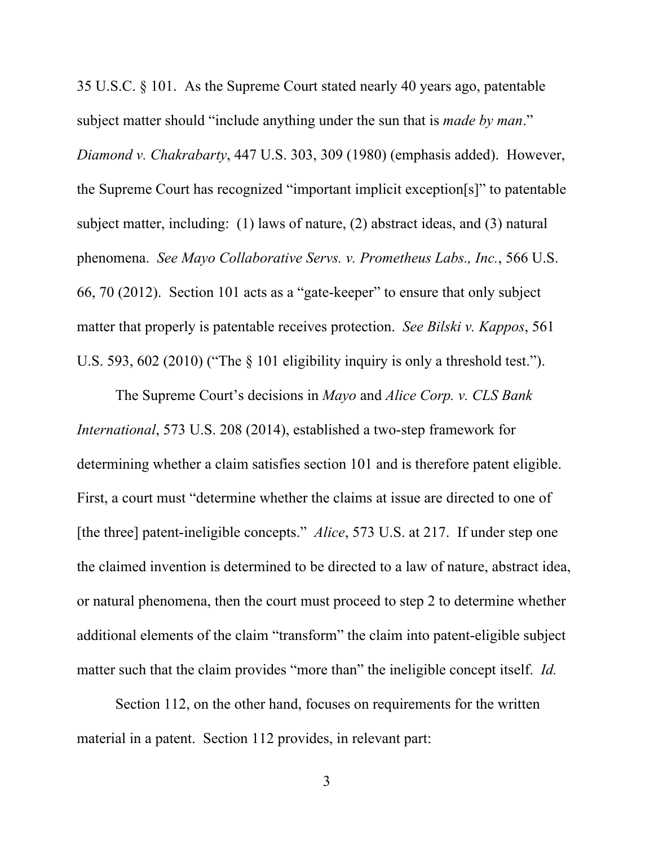35 U.S.C. § 101. As the Supreme Court stated nearly 40 years ago, patentable subject matter should "include anything under the sun that is *made by man*." *Diamond v. Chakrabarty*, 447 U.S. 303, 309 (1980) (emphasis added). However, the Supreme Court has recognized "important implicit exception[s]" to patentable subject matter, including: (1) laws of nature, (2) abstract ideas, and (3) natural phenomena. *See Mayo Collaborative Servs. v. Prometheus Labs., Inc.*, 566 U.S. 66, 70 (2012). Section 101 acts as a "gate-keeper" to ensure that only subject matter that properly is patentable receives protection. *See Bilski v. Kappos*, 561 U.S. 593, 602 (2010) ("The § 101 eligibility inquiry is only a threshold test.").

The Supreme Court's decisions in *Mayo* and *Alice Corp. v. CLS Bank International*, 573 U.S. 208 (2014), established a two-step framework for determining whether a claim satisfies section 101 and is therefore patent eligible. First, a court must "determine whether the claims at issue are directed to one of [the three] patent-ineligible concepts." *Alice*, 573 U.S. at 217. If under step one the claimed invention is determined to be directed to a law of nature, abstract idea, or natural phenomena, then the court must proceed to step 2 to determine whether additional elements of the claim "transform" the claim into patent-eligible subject matter such that the claim provides "more than" the ineligible concept itself. *Id.*

Section 112, on the other hand, focuses on requirements for the written material in a patent. Section 112 provides, in relevant part:

3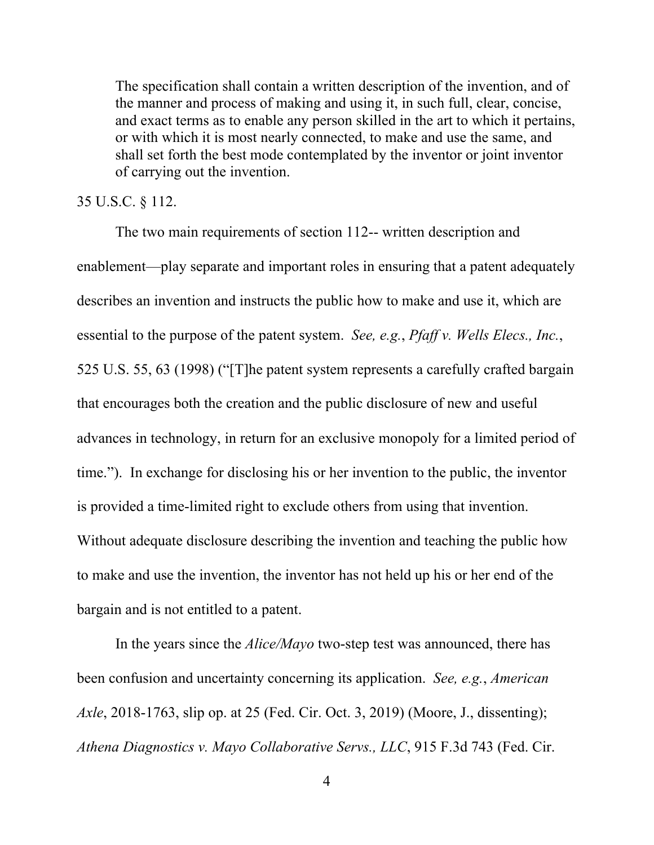The specification shall contain a written description of the invention, and of the manner and process of making and using it, in such full, clear, concise, and exact terms as to enable any person skilled in the art to which it pertains, or with which it is most nearly connected, to make and use the same, and shall set forth the best mode contemplated by the inventor or joint inventor of carrying out the invention.

### 35 U.S.C. § 112.

The two main requirements of section 112-- written description and enablement—play separate and important roles in ensuring that a patent adequately describes an invention and instructs the public how to make and use it, which are essential to the purpose of the patent system. *See, e.g.*, *Pfaff v. Wells Elecs., Inc.*, 525 U.S. 55, 63 (1998) ("[T]he patent system represents a carefully crafted bargain that encourages both the creation and the public disclosure of new and useful advances in technology, in return for an exclusive monopoly for a limited period of time."). In exchange for disclosing his or her invention to the public, the inventor is provided a time-limited right to exclude others from using that invention. Without adequate disclosure describing the invention and teaching the public how to make and use the invention, the inventor has not held up his or her end of the bargain and is not entitled to a patent.

In the years since the *Alice/Mayo* two-step test was announced, there has been confusion and uncertainty concerning its application. *See, e.g.*, *American Axle*, 2018-1763, slip op. at 25 (Fed. Cir. Oct. 3, 2019) (Moore, J., dissenting); *Athena Diagnostics v. Mayo Collaborative Servs., LLC*, 915 F.3d 743 (Fed. Cir.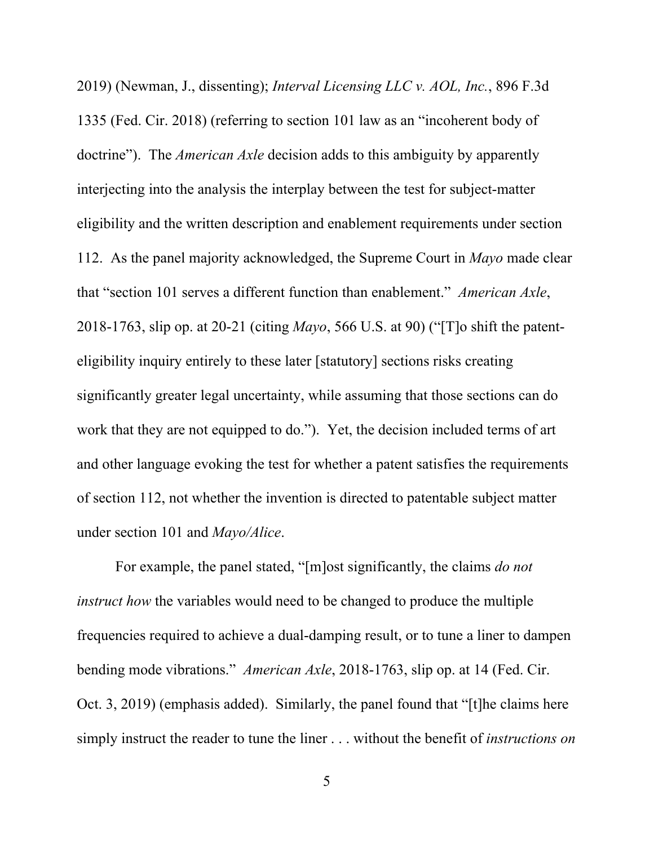2019) (Newman, J., dissenting); *Interval Licensing LLC v. AOL, Inc.*, 896 F.3d 1335 (Fed. Cir. 2018) (referring to section 101 law as an "incoherent body of doctrine"). The *American Axle* decision adds to this ambiguity by apparently interjecting into the analysis the interplay between the test for subject-matter eligibility and the written description and enablement requirements under section 112. As the panel majority acknowledged, the Supreme Court in *Mayo* made clear that "section 101 serves a different function than enablement." *American Axle*, 2018-1763, slip op. at 20-21 (citing *Mayo*, 566 U.S. at 90) ("[T]o shift the patenteligibility inquiry entirely to these later [statutory] sections risks creating significantly greater legal uncertainty, while assuming that those sections can do work that they are not equipped to do."). Yet, the decision included terms of art and other language evoking the test for whether a patent satisfies the requirements of section 112, not whether the invention is directed to patentable subject matter under section 101 and *Mayo/Alice*.

For example, the panel stated, "[m]ost significantly, the claims *do not instruct how* the variables would need to be changed to produce the multiple frequencies required to achieve a dual-damping result, or to tune a liner to dampen bending mode vibrations." *American Axle*, 2018-1763, slip op. at 14 (Fed. Cir. Oct. 3, 2019) (emphasis added). Similarly, the panel found that "[t]he claims here simply instruct the reader to tune the liner . . . without the benefit of *instructions on* 

5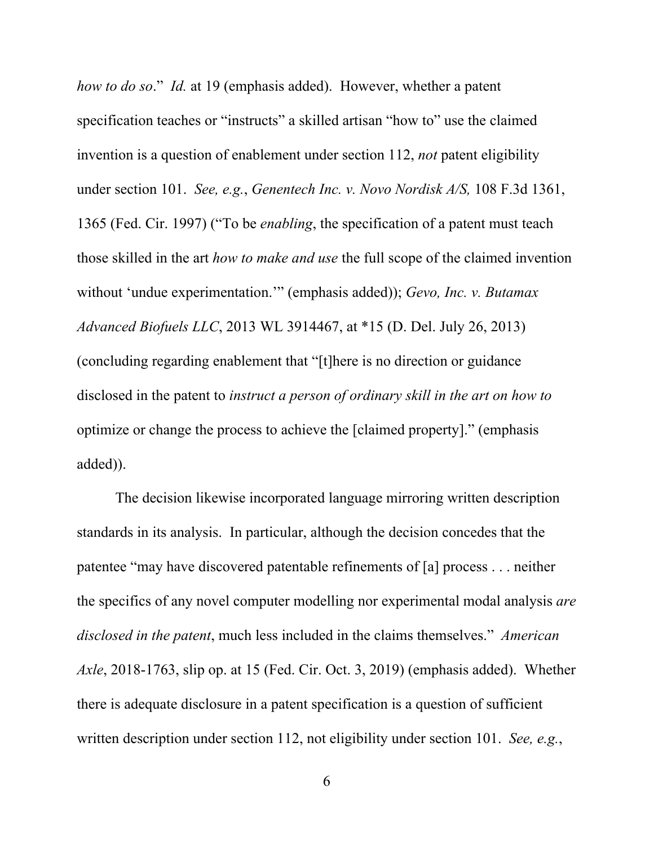*how to do so*." *Id.* at 19 (emphasis added). However, whether a patent specification teaches or "instructs" a skilled artisan "how to" use the claimed invention is a question of enablement under section 112, *not* patent eligibility under section 101. *See, e.g.*, *Genentech Inc. v. Novo Nordisk A/S,* 108 F.3d 1361, 1365 (Fed. Cir. 1997) ("To be *enabling*, the specification of a patent must teach those skilled in the art *how to make and use* the full scope of the claimed invention without 'undue experimentation.'" (emphasis added)); *Gevo, Inc. v. Butamax Advanced Biofuels LLC*, 2013 WL 3914467, at \*15 (D. Del. July 26, 2013) (concluding regarding enablement that "[t]here is no direction or guidance disclosed in the patent to *instruct a person of ordinary skill in the art on how to* optimize or change the process to achieve the [claimed property]." (emphasis added)).

The decision likewise incorporated language mirroring written description standards in its analysis. In particular, although the decision concedes that the patentee "may have discovered patentable refinements of [a] process . . . neither the specifics of any novel computer modelling nor experimental modal analysis *are disclosed in the patent*, much less included in the claims themselves." *American Axle*, 2018-1763, slip op. at 15 (Fed. Cir. Oct. 3, 2019) (emphasis added). Whether there is adequate disclosure in a patent specification is a question of sufficient written description under section 112, not eligibility under section 101. *See, e.g.*,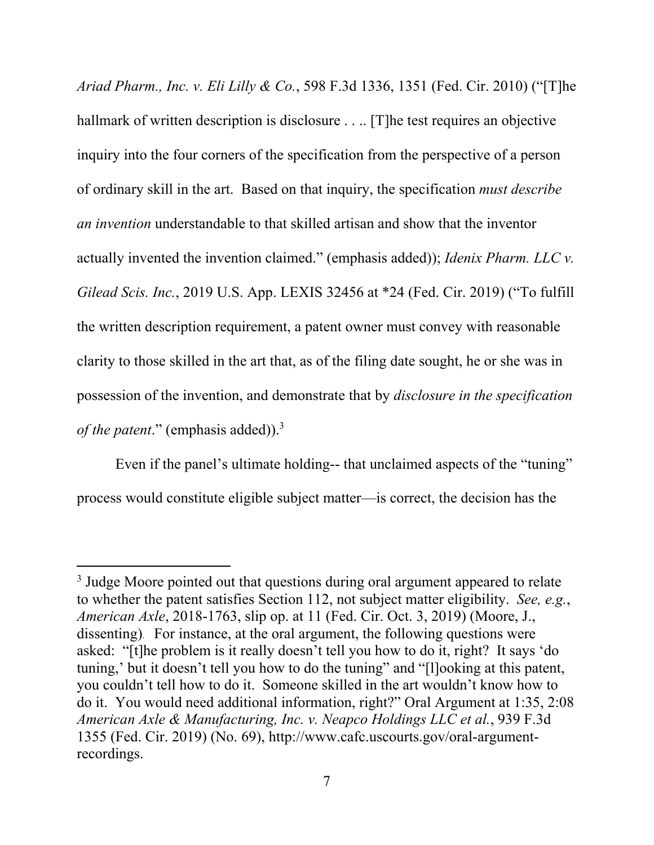*Ariad Pharm., Inc. v. Eli Lilly & Co.*, 598 F.3d 1336, 1351 (Fed. Cir. 2010) ("[T]he hallmark of written description is disclosure . . .. [T] he test requires an objective inquiry into the four corners of the specification from the perspective of a person of ordinary skill in the art. Based on that inquiry, the specification *must describe an invention* understandable to that skilled artisan and show that the inventor actually invented the invention claimed." (emphasis added)); *Idenix Pharm. LLC v. Gilead Scis. Inc.*, 2019 U.S. App. LEXIS 32456 at \*24 (Fed. Cir. 2019) ("To fulfill the written description requirement, a patent owner must convey with reasonable clarity to those skilled in the art that, as of the filing date sought, he or she was in possession of the invention, and demonstrate that by *disclosure in the specification of the patent.*" (emphasis added)).<sup>3</sup>

Even if the panel's ultimate holding-- that unclaimed aspects of the "tuning" process would constitute eligible subject matter—is correct, the decision has the

<sup>&</sup>lt;sup>3</sup> Judge Moore pointed out that questions during oral argument appeared to relate to whether the patent satisfies Section 112, not subject matter eligibility. *See, e.g.*, *American Axle*, 2018-1763, slip op. at 11 (Fed. Cir. Oct. 3, 2019) (Moore, J., dissenting). For instance, at the oral argument, the following questions were asked: "[t]he problem is it really doesn't tell you how to do it, right? It says 'do tuning,' but it doesn't tell you how to do the tuning" and "[l]ooking at this patent, you couldn't tell how to do it. Someone skilled in the art wouldn't know how to do it. You would need additional information, right?" Oral Argument at 1:35, 2:08 *American Axle & Manufacturing, Inc. v. Neapco Holdings LLC et al.*, 939 F.3d 1355 (Fed. Cir. 2019) (No. 69), http://www.cafc.uscourts.gov/oral-argumentrecordings.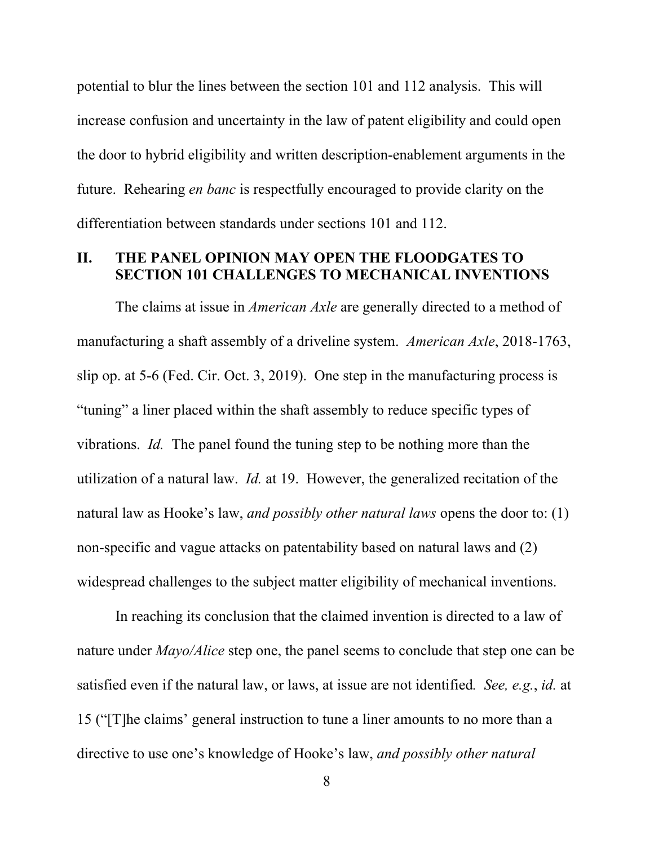potential to blur the lines between the section 101 and 112 analysis. This will increase confusion and uncertainty in the law of patent eligibility and could open the door to hybrid eligibility and written description-enablement arguments in the future. Rehearing *en banc* is respectfully encouraged to provide clarity on the differentiation between standards under sections 101 and 112.

## **II. THE PANEL OPINION MAY OPEN THE FLOODGATES TO SECTION 101 CHALLENGES TO MECHANICAL INVENTIONS**

The claims at issue in *American Axle* are generally directed to a method of manufacturing a shaft assembly of a driveline system. *American Axle*, 2018-1763, slip op. at 5-6 (Fed. Cir. Oct. 3, 2019). One step in the manufacturing process is "tuning" a liner placed within the shaft assembly to reduce specific types of vibrations. *Id.* The panel found the tuning step to be nothing more than the utilization of a natural law. *Id.* at 19. However, the generalized recitation of the natural law as Hooke's law, *and possibly other natural laws* opens the door to: (1) non-specific and vague attacks on patentability based on natural laws and (2) widespread challenges to the subject matter eligibility of mechanical inventions.

In reaching its conclusion that the claimed invention is directed to a law of nature under *Mayo/Alice* step one, the panel seems to conclude that step one can be satisfied even if the natural law, or laws, at issue are not identified*. See, e.g.*, *id.* at 15 ("[T]he claims' general instruction to tune a liner amounts to no more than a directive to use one's knowledge of Hooke's law, *and possibly other natural*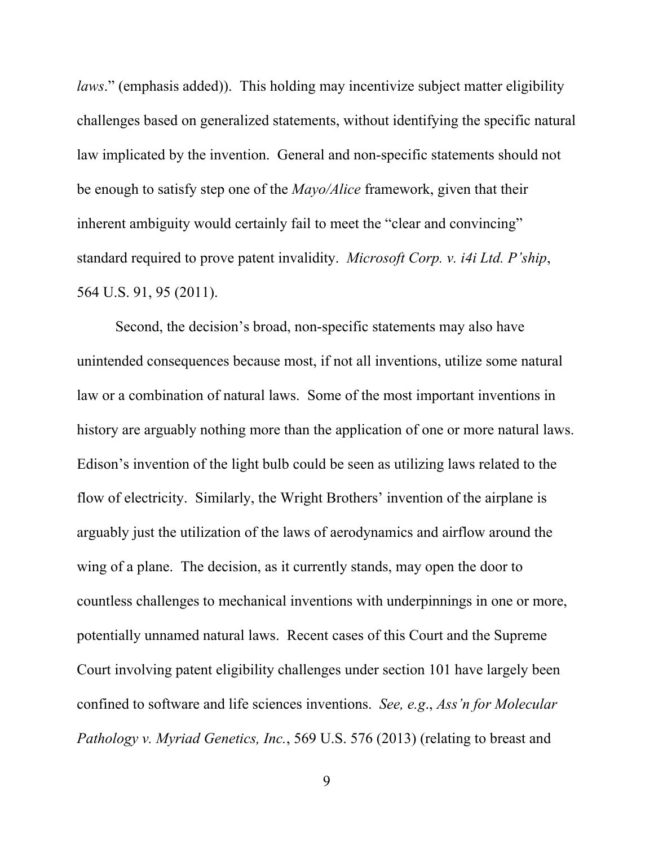*laws*." (emphasis added)). This holding may incentivize subject matter eligibility challenges based on generalized statements, without identifying the specific natural law implicated by the invention. General and non-specific statements should not be enough to satisfy step one of the *Mayo/Alice* framework, given that their inherent ambiguity would certainly fail to meet the "clear and convincing" standard required to prove patent invalidity. *Microsoft Corp. v. i4i Ltd. P'ship*, 564 U.S. 91, 95 (2011).

Second, the decision's broad, non-specific statements may also have unintended consequences because most, if not all inventions, utilize some natural law or a combination of natural laws. Some of the most important inventions in history are arguably nothing more than the application of one or more natural laws. Edison's invention of the light bulb could be seen as utilizing laws related to the flow of electricity. Similarly, the Wright Brothers' invention of the airplane is arguably just the utilization of the laws of aerodynamics and airflow around the wing of a plane. The decision, as it currently stands, may open the door to countless challenges to mechanical inventions with underpinnings in one or more, potentially unnamed natural laws. Recent cases of this Court and the Supreme Court involving patent eligibility challenges under section 101 have largely been confined to software and life sciences inventions. *See, e.g*., *Ass'n for Molecular Pathology v. Myriad Genetics, Inc.*, 569 U.S. 576 (2013) (relating to breast and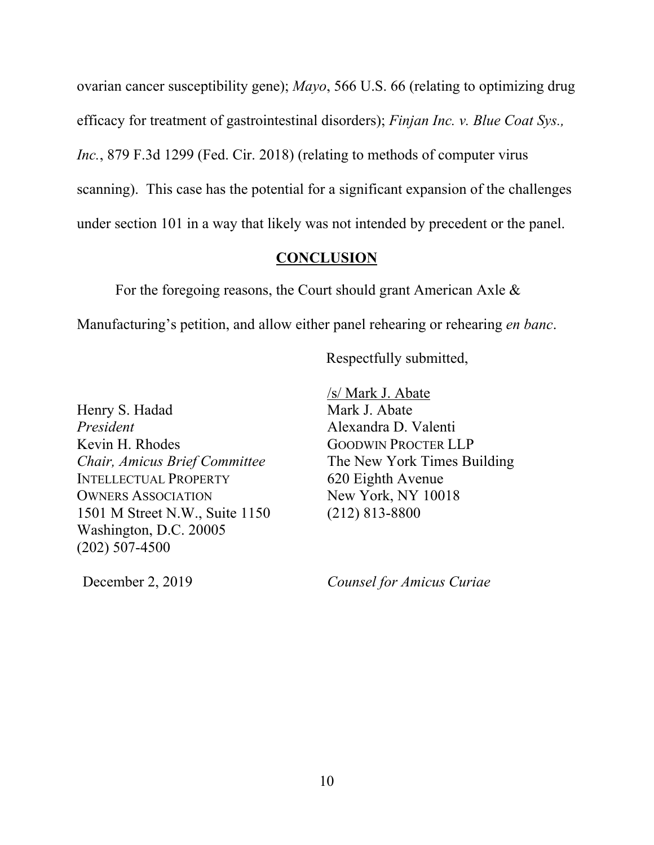ovarian cancer susceptibility gene); *Mayo*, 566 U.S. 66 (relating to optimizing drug

efficacy for treatment of gastrointestinal disorders); *Finjan Inc. v. Blue Coat Sys.,* 

*Inc.*, 879 F.3d 1299 (Fed. Cir. 2018) (relating to methods of computer virus

scanning). This case has the potential for a significant expansion of the challenges

under section 101 in a way that likely was not intended by precedent or the panel.

## **CONCLUSION**

For the foregoing reasons, the Court should grant American Axle &

Manufacturing's petition, and allow either panel rehearing or rehearing *en banc*.

Respectfully submitted,

Henry S. Hadad *President* Kevin H. Rhodes *Chair, Amicus Brief Committee* INTELLECTUAL PROPERTY OWNERS ASSOCIATION 1501 M Street N.W., Suite 1150 Washington, D.C. 20005 (202) 507-4500

/s/ Mark J. Abate Mark J. Abate Alexandra D. Valenti GOODWIN PROCTER LLP The New York Times Building 620 Eighth Avenue New York, NY 10018 (212) 813-8800

December 2, 2019 *Counsel for Amicus Curiae*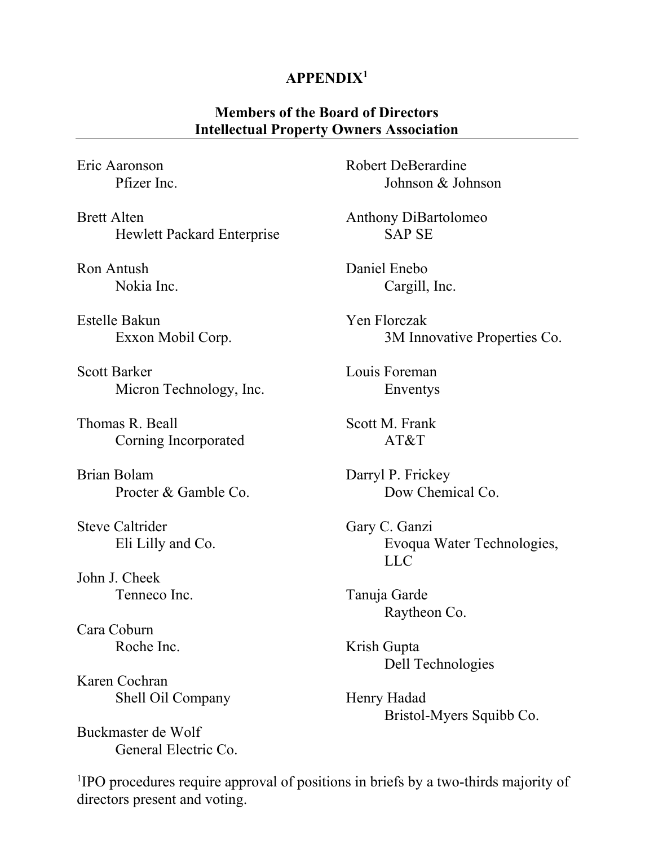## **APPENDIX1**

### **Members of the Board of Directors Intellectual Property Owners Association**

Eric Aaronson Pfizer Inc.

Brett Alten Hewlett Packard Enterprise

Ron Antush Nokia Inc.

Estelle Bakun Exxon Mobil Corp.

Scott Barker Micron Technology, Inc.

Thomas R. Beall Corning Incorporated

Brian Bolam Procter & Gamble Co.

Steve Caltrider Eli Lilly and Co.

John J. Cheek Tenneco Inc.

Cara Coburn Roche Inc.

Karen Cochran Shell Oil Company

Buckmaster de Wolf General Electric Co. Robert DeBerardine Johnson & Johnson

Anthony DiBartolomeo SAP SE

Daniel Enebo Cargill, Inc.

Yen Florczak 3M Innovative Properties Co.

Louis Foreman Enventys

Scott M. Frank AT&T

Darryl P. Frickey Dow Chemical Co.

Gary C. Ganzi Evoqua Water Technologies, LLC

Tanuja Garde Raytheon Co.

Krish Gupta Dell Technologies

Henry Hadad Bristol-Myers Squibb Co.

<sup>1</sup>IPO procedures require approval of positions in briefs by a two-thirds majority of directors present and voting.